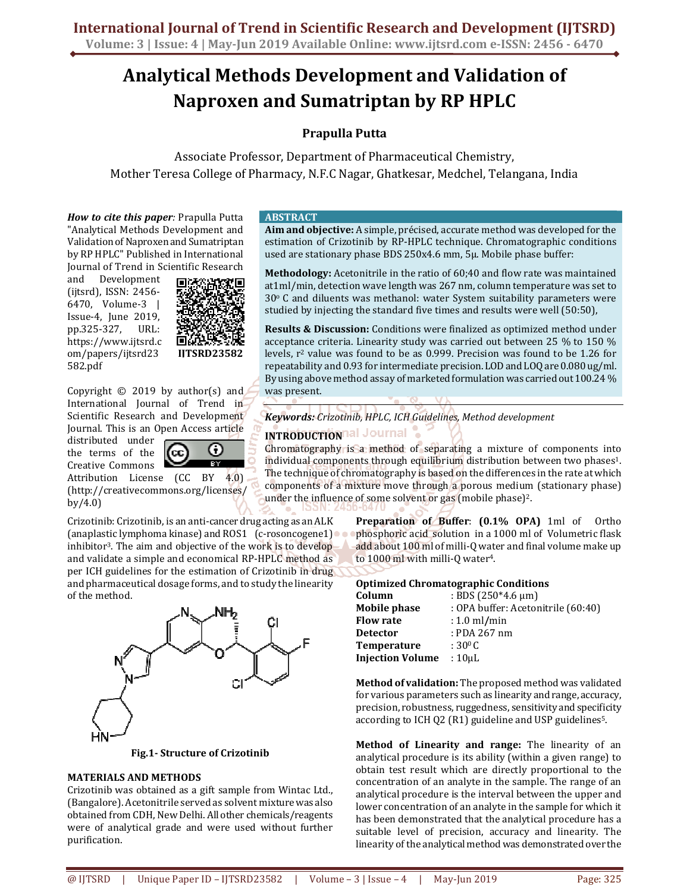# **Analytical Methods Development and Validation of Naproxen and Sumatriptan by RP HPLC**

# **Prapulla Putta**

Associate Professor, Department of Pharmaceutical Chemistry, Mother Teresa College of Pharmacy, N.F.C Nagar, Ghatkesar, Medchel, Telangana, India

*How to cite this paper:* Prapulla Putta "Analytical Methods Development and Validation of Naproxen and Sumatriptan by RP HPLC" Published in International Journal of Trend in Scientific Research

and Development (ijtsrd), ISSN: 2456- 6470, Volume-3 | Issue-4, June 2019, pp.325-327, URL: https://www.ijtsrd.c om/papers/ijtsrd23 582.pdf



Copyright  $\odot$  2019 by author(s) and International Journal of Trend in Scientific Research and Development Journal. This is an Open Access article

distributed under the terms of the Creative Commons



Attribution License (CC BY 4.0) (http://creativecommons.org/licenses/ by/4.0)

Crizotinib: Crizotinib, is an anti-cancer drug acting as an ALK (anaplastic lymphoma kinase) and ROS1 (c-rosoncogene1) inhibitor3. The aim and objective of the work is to develop and validate a simple and economical RP-HPLC method as per ICH guidelines for the estimation of Crizotinib in drug and pharmaceutical dosage forms, and to study the linearity of the method.



#### **Fig.1- Structure of Crizotinib**

### **MATERIALS AND METHODS**

Crizotinib was obtained as a gift sample from Wintac Ltd., (Bangalore). Acetonitrile served as solvent mixture was also obtained from CDH, New Delhi. All other chemicals/reagents were of analytical grade and were used without further purification.

#### **ABSTRACT**

**Aim and objective:** A simple, précised, accurate method was developed for the estimation of Crizotinib by RP-HPLC technique. Chromatographic conditions used are stationary phase BDS 250x4.6 mm, 5µ. Mobile phase buffer:

**Methodology:** Acetonitrile in the ratio of 60;40 and flow rate was maintained at1ml/min, detection wave length was 267 nm, column temperature was set to  $30^{\circ}$  C and diluents was methanol: water System suitability parameters were studied by injecting the standard five times and results were well (50:50),

**Results & Discussion:** Conditions were finalized as optimized method under acceptance criteria. Linearity study was carried out between 25 % to 150 % levels, r2 value was found to be as 0.999. Precision was found to be 1.26 for repeatability and 0.93 for intermediate precision. LOD and LOQ are 0.080 ug/ml. By using above method assay of marketed formulation was carried out 100.24 % was present.

*Keywords: Crizotinib, HPLC, ICH Guidelines, Method development* 

# **INTRODUCTION All Journal**

Chromatography is a method of separating a mixture of components into individual components through equilibrium distribution between two phases<sup>1</sup>. The technique of chromatography is based on the differences in the rate at which components of a mixture move through a porous medium (stationary phase) under the influence of some solvent or gas (mobile phase)<sup>2</sup>.

> **Preparation of Buffer**: **(0.1% OPA)** 1ml of Ortho phosphoric acid solution in a 1000 ml of Volumetric flask add about 100 ml of milli-Q water and final volume make up to 1000 ml with milli-Q water4.

#### **Optimized Chromatographic Conditions**

| Column                  | : BDS $(250*4.6 \text{ µm})$       |
|-------------------------|------------------------------------|
| Mobile phase            | : OPA buffer: Acetonitrile (60:40) |
| <b>Flow rate</b>        | $: 1.0$ ml/min                     |
| <b>Detector</b>         | : PDA 267 nm                       |
| <b>Temperature</b>      | : 30 <sup>0</sup> C                |
| <b>Injection Volume</b> | $:10$ µL                           |

**Method of validation:** The proposed method was validated for various parameters such as linearity and range, accuracy, precision, robustness, ruggedness, sensitivity and specificity according to ICH Q2 (R1) guideline and USP guidelines 5.

**Method of Linearity and range:** The linearity of an analytical procedure is its ability (within a given range) to obtain test result which are directly proportional to the concentration of an analyte in the sample. The range of an analytical procedure is the interval between the upper and lower concentration of an analyte in the sample for which it has been demonstrated that the analytical procedure has a suitable level of precision, accuracy and linearity. The linearity of the analytical method was demonstrated over the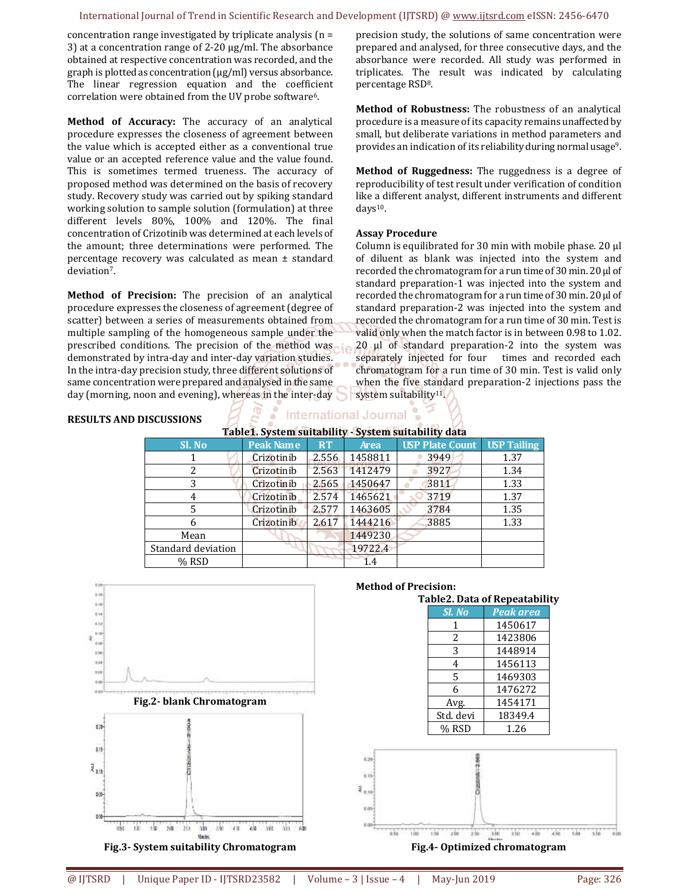#### International Journal of Trend in Scientific Research and Development (IJTSRD) @ www.ijtsrd.com eISSN: 2456-6470

percentage RSD8.

days10.

**Assay Procedure** 

concentration range investigated by triplicate analysis (n = 3) at a concentration range of 2-20 μg/ml. The absorbance obtained at respective concentration was recorded, and the graph is plotted as concentration (μg/ml) versus absorbance. The linear regression equation and the coefficient correlation were obtained from the UV probe software 6.

**Method of Accuracy:** The accuracy of an analytical procedure expresses the closeness of agreement between the value which is accepted either as a conventional true value or an accepted reference value and the value found. This is sometimes termed trueness. The accuracy of proposed method was determined on the basis of recovery study. Recovery study was carried out by spiking standard working solution to sample solution (formulation) at three different levels 80%, 100% and 120%. The final concentration of Crizotinib was determined at each levels of the amount; three determinations were performed. The percentage recovery was calculated as mean ± standard deviation<sup>7</sup>.

**Method of Precision:** The precision of an analytical procedure expresses the closeness of agreement (degree of scatter) between a series of measurements obtained from multiple sampling of the homogeneous sample under the prescribed conditions. The precision of the method was demonstrated by intra-day and inter-day variation studies. In the intra-day precision study, three different solutions of same concentration were prepared and analysed in the same day (morning, noon and evening), whereas in the inter-day system suitability<sup>11</sup>.

#### **RESULTS AND DISCUSSIONS**

**International Journal** 

**Table1. System suitability - System suitability data** 

| Sl. No             | <b>Peak Name</b>  | <b>RT</b> | <b>Area</b> | <b>USP Plate Count   USP Tailing</b> |      |
|--------------------|-------------------|-----------|-------------|--------------------------------------|------|
|                    | Crizotinib        | 2.556     | 1458811     | 3949                                 | 1.37 |
|                    | Crizotinib        | 2.563     | 1412479     | 3927                                 | 1.34 |
|                    | Crizotinib        | 2.565     | 1450647     | 3811                                 | 1.33 |
| 4                  | <b>Crizotinib</b> | 2.574     | 1465621     | 3719                                 | 1.37 |
| 5                  | Crizotinib        | 2.577     | 1463605     | 3784                                 | 1.35 |
| 6                  | Crizotinib        | 2.617     | 1444216     | 3885                                 | 1.33 |
| Mean               |                   |           | 1449230     |                                      |      |
| Standard deviation |                   |           | 19722.4     |                                      |      |
| % RSD              |                   |           | 1.4         |                                      |      |



**Fig.3- System suitability Chromatogram** 

#### **Method of Precision:**

| Table2. Data of Repeatability |                  |  |  |
|-------------------------------|------------------|--|--|
| Sl. No                        | <b>Peak</b> area |  |  |
| 1                             | 1450617          |  |  |
| 2                             | 1423806          |  |  |
| 3                             | 1448914          |  |  |
| 4                             | 1456113          |  |  |
| 5                             | 1469303          |  |  |
| 6                             | 1476272          |  |  |
| Avg.                          | 1454171          |  |  |
| Std. devi                     | 18349.4          |  |  |
| % RSD                         | 1.26             |  |  |

precision study, the solutions of same concentration were prepared and analysed, for three consecutive days, and the absorbance were recorded. All study was performed in triplicates. The result was indicated by calculating

**Method of Robustness:** The robustness of an analytical procedure is a measure of its capacity remains unaffected by small, but deliberate variations in method parameters and provides an indication of its reliability during normal usage<sup>9</sup>.

**Method of Ruggedness:** The ruggedness is a degree of reproducibility of test result under verification of condition like a different analyst, different instruments and different

Column is equilibrated for 30 min with mobile phase. 20  $\mu$ l of diluent as blank was injected into the system and recorded the chromatogram for a run time of 30 min. 20 µl of standard preparation-1 was injected into the system and recorded the chromatogram for a run time of 30 min. 20 µl of standard preparation-2 was injected into the system and recorded the chromatogram for a run time of 30 min. Test is valid only when the match factor is in between 0.98 to 1.02. 20 µl of standard preparation-2 into the system was separately injected for four times and recorded each chromatogram for a run time of 30 min. Test is valid only when the five standard preparation-2 injections pass the



**Fig.4- Optimized chromatogram**